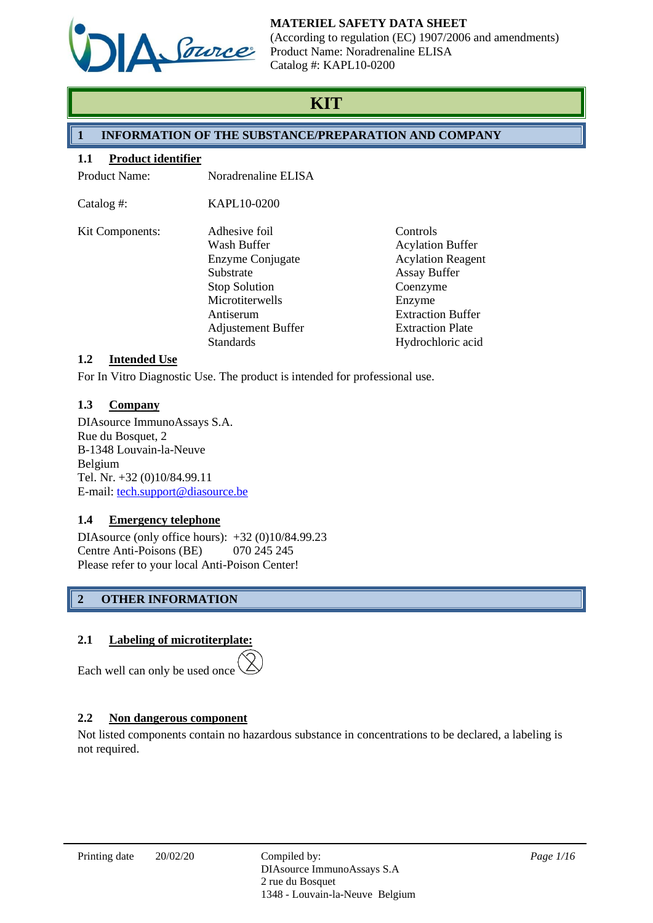

(According to regulation (EC) 1907/2006 and amendments) Product Name: Noradrenaline ELISA Catalog #: KAPL10-0200

# **KIT**

# **1 INFORMATION OF THE SUBSTANCE/PREPARATION AND COMPANY**

#### **1.1 Product identifier**

Product Name: Noradrenaline ELISA

| Catalog #:      | KAPL10-0200               |                          |
|-----------------|---------------------------|--------------------------|
| Kit Components: | Adhesive foil             | Controls                 |
|                 | Wash Buffer               | <b>Acylation Buffer</b>  |
|                 | Enzyme Conjugate          | <b>Acylation Reagent</b> |
|                 | Substrate                 | <b>Assay Buffer</b>      |
|                 | <b>Stop Solution</b>      | Coenzyme                 |
|                 | Microtiterwells           | Enzyme                   |
|                 | Antiserum                 | <b>Extraction Buffer</b> |
|                 | <b>Adjustement Buffer</b> | <b>Extraction Plate</b>  |
|                 | <b>Standards</b>          | Hydrochloric acid        |

#### **1.2 Intended Use**

For In Vitro Diagnostic Use. The product is intended for professional use.

## **1.3 Company**

DIAsource ImmunoAssays S.A. Rue du Bosquet, 2 B-1348 Louvain-la-Neuve Belgium Tel. Nr. +32 (0)10/84.99.11 E-mail: [tech.support@diasource.be](mailto:tech.support@diasource.be)

## **1.4 Emergency telephone**

DIAsource (only office hours): +32 (0)10/84.99.23 Centre Anti-Poisons (BE) 070 245 245 Please refer to your local Anti-Poison Center!

# **2 OTHER INFORMATION**

## **2.1 Labeling of microtiterplate:**

Each well can only be used once

# **2.2 Non dangerous component**

Not listed components contain no hazardous substance in concentrations to be declared, a labeling is not required.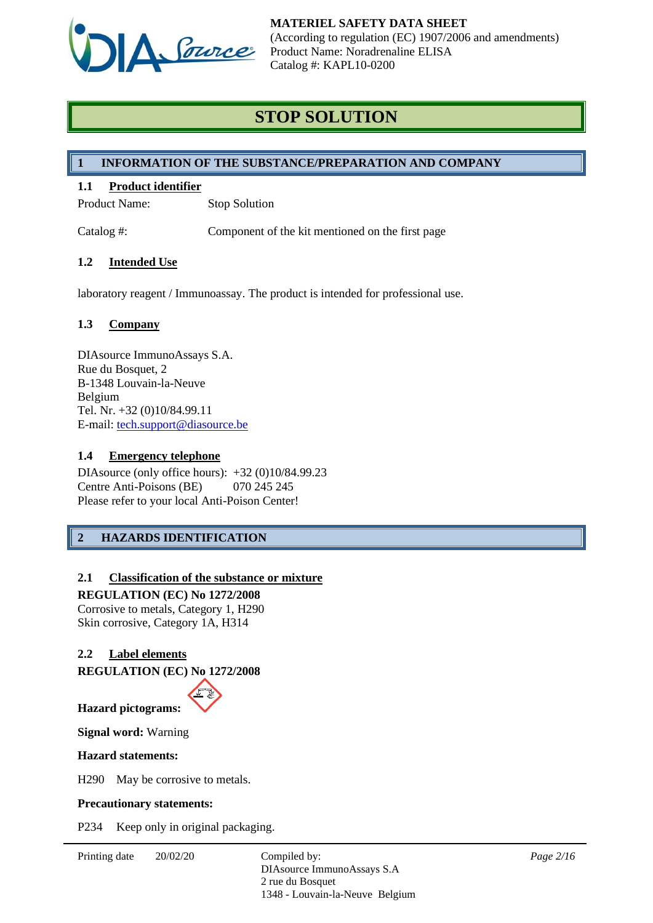

# **STOP SOLUTION**

## **1 INFORMATION OF THE SUBSTANCE/PREPARATION AND COMPANY**

## **1.1 Product identifier**

Product Name: Stop Solution

Catalog #: Component of the kit mentioned on the first page

## **1.2 Intended Use**

laboratory reagent / Immunoassay. The product is intended for professional use.

# **1.3 Company**

DIAsource ImmunoAssays S.A. Rue du Bosquet, 2 B-1348 Louvain-la-Neuve Belgium Tel. Nr. +32 (0)10/84.99.11 E-mail: [tech.support@diasource.be](mailto:tech.support@diasource.be)

#### **1.4 Emergency telephone**

DIAsource (only office hours): +32 (0)10/84.99.23 Centre Anti-Poisons (BE) 070 245 245 Please refer to your local Anti-Poison Center!

# **2 HAZARDS IDENTIFICATION**

## **2.1 Classification of the substance or mixture**

**REGULATION (EC) No 1272/2008** Corrosive to metals, Category 1, H290 Skin corrosive, Category 1A, H314

## **2.2 Label elements**

**REGULATION (EC) No 1272/2008**



**Signal word:** Warning

#### **Hazard statements:**

H290 May be corrosive to metals.

#### **Precautionary statements:**

P234 Keep only in original packaging.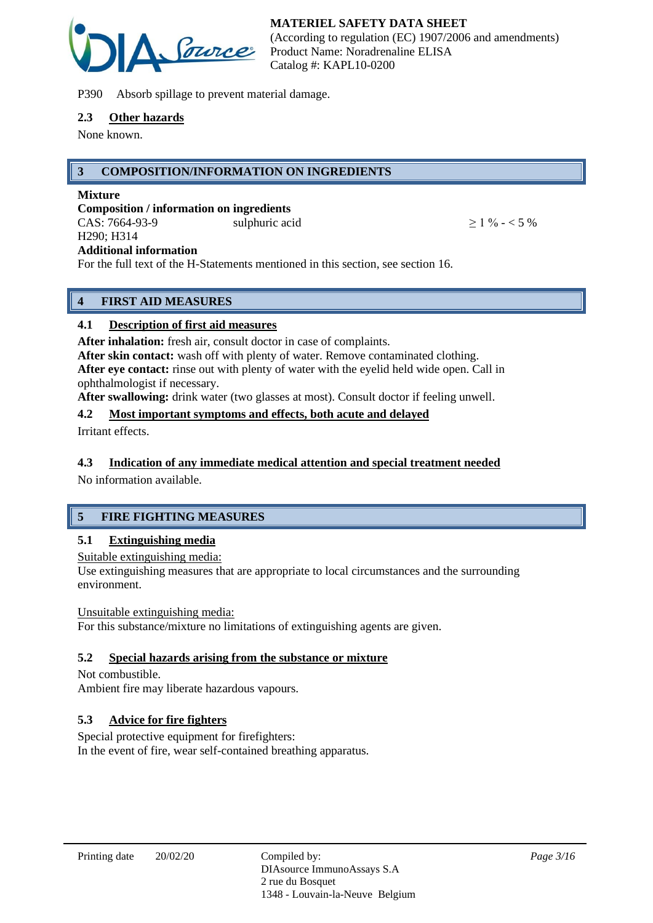

P390 Absorb spillage to prevent material damage.

#### **2.3 Other hazards**

None known.

## **3 COMPOSITION/INFORMATION ON INGREDIENTS**

#### **Mixture**

**Composition / information on ingredients** CAS:  $7664-93-9$  sulphuric acid  $> 1\% - 5\%$ H290; H314 **Additional information**

For the full text of the H-Statements mentioned in this section, see section 16.

# **4 FIRST AID MEASURES**

## **4.1 Description of first aid measures**

**After inhalation:** fresh air, consult doctor in case of complaints.

**After skin contact:** wash off with plenty of water. Remove contaminated clothing. **After eye contact:** rinse out with plenty of water with the eyelid held wide open. Call in ophthalmologist if necessary.

**After swallowing:** drink water (two glasses at most). Consult doctor if feeling unwell.

## **4.2 Most important symptoms and effects, both acute and delayed**

Irritant effects.

## **4.3 Indication of any immediate medical attention and special treatment needed**

No information available.

# **5 FIRE FIGHTING MEASURES**

## **5.1 Extinguishing media**

Suitable extinguishing media:

Use extinguishing measures that are appropriate to local circumstances and the surrounding environment.

#### Unsuitable extinguishing media:

For this substance/mixture no limitations of extinguishing agents are given.

## **5.2 Special hazards arising from the substance or mixture**

Not combustible. Ambient fire may liberate hazardous vapours.

## **5.3 Advice for fire fighters**

Special protective equipment for firefighters: In the event of fire, wear self-contained breathing apparatus.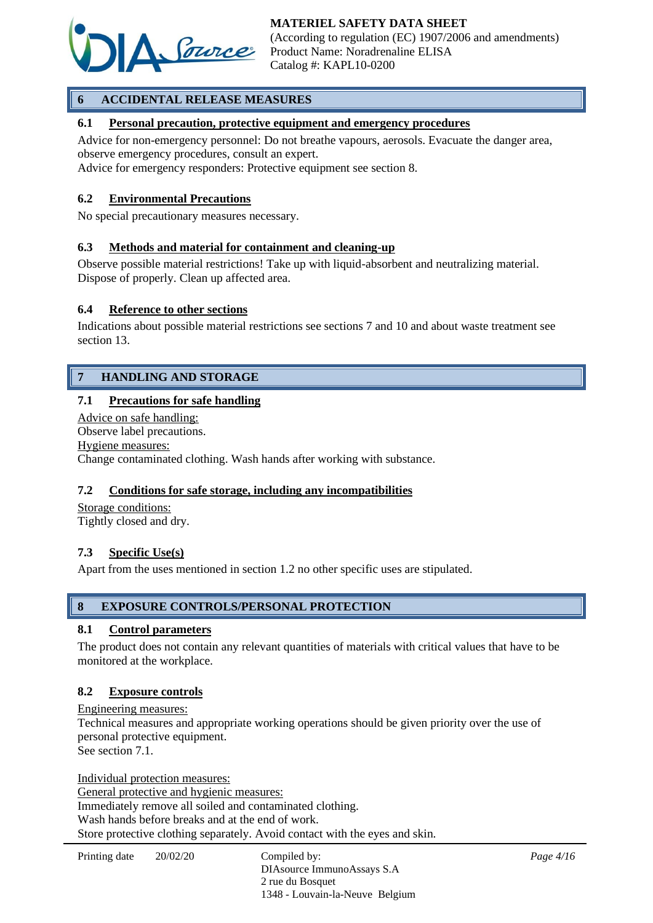

# **6 ACCIDENTAL RELEASE MEASURES**

#### **6.1 Personal precaution, protective equipment and emergency procedures**

Advice for non-emergency personnel: Do not breathe vapours, aerosols. Evacuate the danger area, observe emergency procedures, consult an expert.

Advice for emergency responders: Protective equipment see section 8.

#### **6.2 Environmental Precautions**

No special precautionary measures necessary.

#### **6.3 Methods and material for containment and cleaning-up**

Observe possible material restrictions! Take up with liquid-absorbent and neutralizing material. Dispose of properly. Clean up affected area.

#### **6.4 Reference to other sections**

Indications about possible material restrictions see sections 7 and 10 and about waste treatment see section 13.

## **7 HANDLING AND STORAGE**

#### **7.1 Precautions for safe handling**

Advice on safe handling: Observe label precautions. Hygiene measures: Change contaminated clothing. Wash hands after working with substance.

#### **7.2 Conditions for safe storage, including any incompatibilities**

Storage conditions: Tightly closed and dry.

#### **7.3 Specific Use(s)**

Apart from the uses mentioned in section 1.2 no other specific uses are stipulated.

#### **8 EXPOSURE CONTROLS/PERSONAL PROTECTION**

#### **8.1 Control parameters**

The product does not contain any relevant quantities of materials with critical values that have to be monitored at the workplace.

#### **8.2 Exposure controls**

Engineering measures: Technical measures and appropriate working operations should be given priority over the use of personal protective equipment. See section 7.1.

Individual protection measures: General protective and hygienic measures: Immediately remove all soiled and contaminated clothing. Wash hands before breaks and at the end of work. Store protective clothing separately. Avoid contact with the eyes and skin.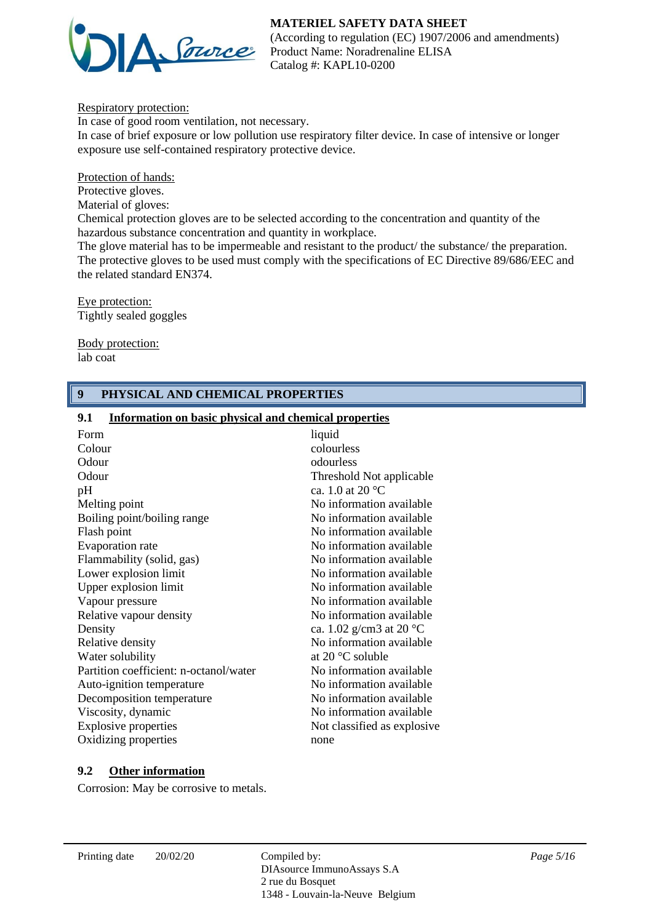

(According to regulation (EC) 1907/2006 and amendments) Product Name: Noradrenaline ELISA Catalog #: KAPL10-0200

Respiratory protection:

In case of good room ventilation, not necessary. In case of brief exposure or low pollution use respiratory filter device. In case of intensive or longer exposure use self-contained respiratory protective device.

Protection of hands:

Protective gloves.

Material of gloves:

Chemical protection gloves are to be selected according to the concentration and quantity of the hazardous substance concentration and quantity in workplace.

The glove material has to be impermeable and resistant to the product/ the substance/ the preparation. The protective gloves to be used must comply with the specifications of EC Directive 89/686/EEC and the related standard EN374.

Eye protection: Tightly sealed goggles

Body protection: lab coat

## **9 PHYSICAL AND CHEMICAL PROPERTIES**

#### **9.1 Information on basic physical and chemical properties**

| Form                                   | liquid                            |
|----------------------------------------|-----------------------------------|
| Colour                                 | colourless                        |
| Odour                                  | odourless                         |
| Odour                                  | Threshold Not applicable          |
| pH                                     | ca. 1.0 at 20 $^{\circ}$ C        |
| Melting point                          | No information available          |
| Boiling point/boiling range            | No information available          |
| Flash point                            | No information available          |
| Evaporation rate                       | No information available          |
| Flammability (solid, gas)              | No information available          |
| Lower explosion limit                  | No information available          |
| Upper explosion limit                  | No information available          |
| Vapour pressure                        | No information available          |
| Relative vapour density                | No information available          |
| Density                                | ca. 1.02 g/cm3 at 20 $^{\circ}$ C |
| Relative density                       | No information available          |
| Water solubility                       | at 20 $\degree$ C soluble         |
| Partition coefficient: n-octanol/water | No information available          |
| Auto-ignition temperature              | No information available          |
| Decomposition temperature              | No information available.         |
| Viscosity, dynamic                     | No information available.         |
| <b>Explosive properties</b>            | Not classified as explosive.      |
| Oxidizing properties                   | none                              |
|                                        |                                   |

## **9.2 Other information**

Corrosion: May be corrosive to metals.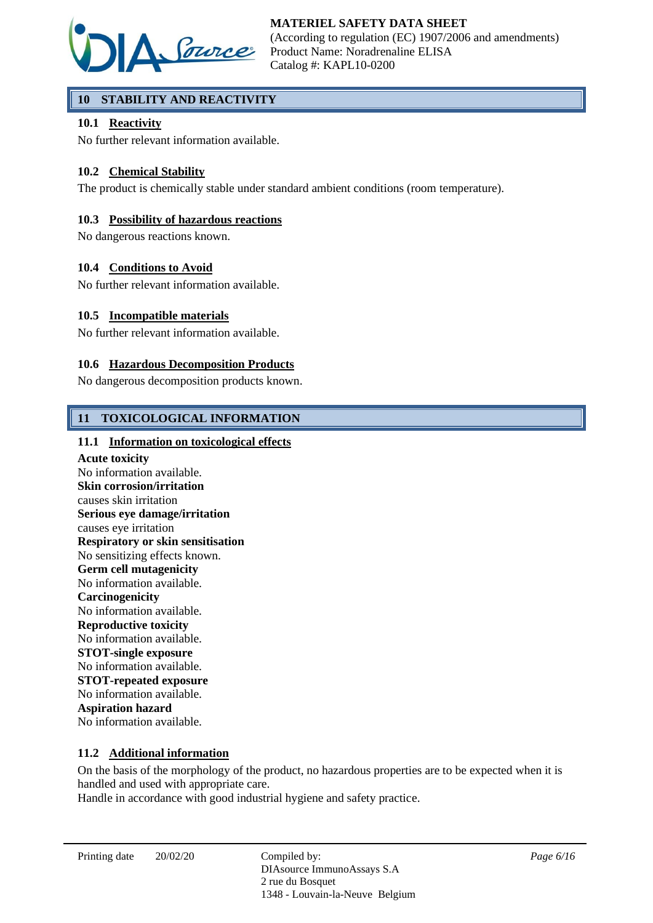

# **10 STABILITY AND REACTIVITY**

## **10.1 Reactivity**

No further relevant information available.

## **10.2 Chemical Stability**

The product is chemically stable under standard ambient conditions (room temperature).

## **10.3 Possibility of hazardous reactions**

No dangerous reactions known.

#### **10.4 Conditions to Avoid**

No further relevant information available.

#### **10.5 Incompatible materials**

No further relevant information available.

#### **10.6 Hazardous Decomposition Products**

No dangerous decomposition products known.

## **11 TOXICOLOGICAL INFORMATION**

#### **11.1 Information on toxicological effects**

**Acute toxicity** No information available. **Skin corrosion/irritation** causes skin irritation **Serious eye damage/irritation** causes eye irritation **Respiratory or skin sensitisation** No sensitizing effects known. **Germ cell mutagenicity** No information available. **Carcinogenicity** No information available. **Reproductive toxicity** No information available. **STOT-single exposure** No information available. **STOT-repeated exposure** No information available. **Aspiration hazard** No information available.

#### **11.2 Additional information**

On the basis of the morphology of the product, no hazardous properties are to be expected when it is handled and used with appropriate care.

Handle in accordance with good industrial hygiene and safety practice.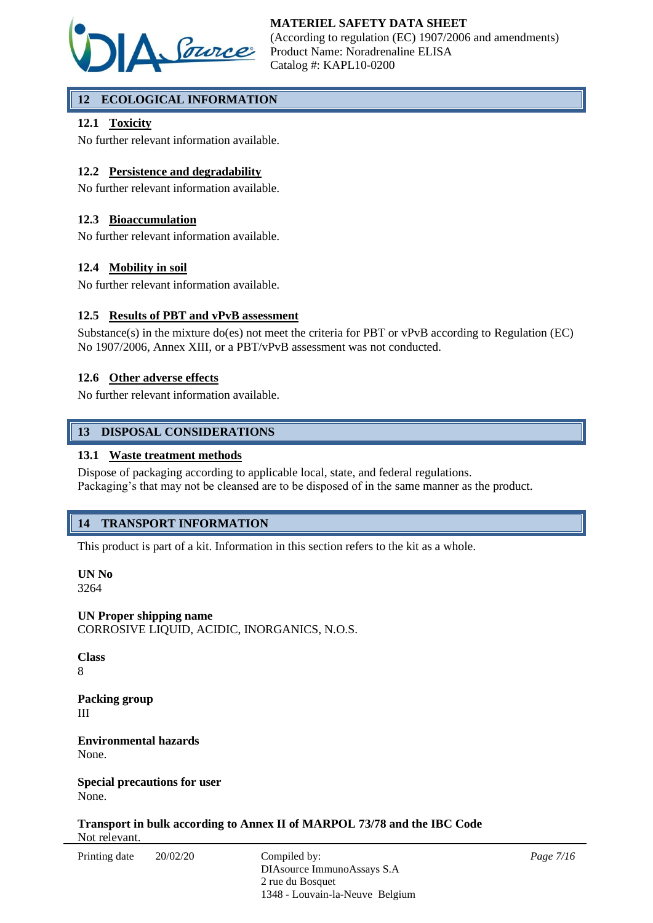

# **12 ECOLOGICAL INFORMATION**

## **12.1 Toxicity**

No further relevant information available.

## **12.2 Persistence and degradability**

No further relevant information available.

## **12.3 Bioaccumulation**

No further relevant information available.

## **12.4 Mobility in soil**

No further relevant information available.

## **12.5 Results of PBT and vPvB assessment**

Substance(s) in the mixture do(es) not meet the criteria for PBT or vPvB according to Regulation (EC) No 1907/2006, Annex XIII, or a PBT/vPvB assessment was not conducted.

## **12.6 Other adverse effects**

No further relevant information available.

## **13 DISPOSAL CONSIDERATIONS**

#### **13.1 Waste treatment methods**

Dispose of packaging according to applicable local, state, and federal regulations. Packaging's that may not be cleansed are to be disposed of in the same manner as the product.

# **14 TRANSPORT INFORMATION**

This product is part of a kit. Information in this section refers to the kit as a whole.

**UN No** 3264

**UN Proper shipping name** CORROSIVE LIQUID, ACIDIC, INORGANICS, N.O.S.

**Class** 8

**Packing group** III

**Environmental hazards** None.

**Special precautions for user** None.

**Transport in bulk according to Annex II of MARPOL 73/78 and the IBC Code** Not relevant.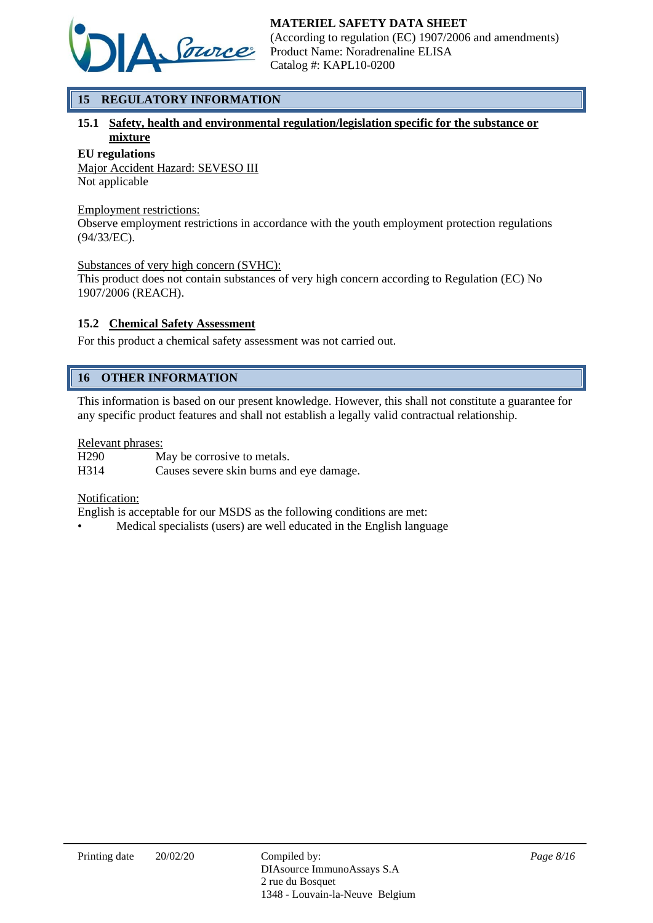

# **15 REGULATORY INFORMATION**

## **15.1 Safety, health and environmental regulation/legislation specific for the substance or mixture**

#### **EU regulations**

Major Accident Hazard: SEVESO III Not applicable

#### Employment restrictions:

Observe employment restrictions in accordance with the youth employment protection regulations (94/33/EC).

#### Substances of very high concern (SVHC):

This product does not contain substances of very high concern according to Regulation (EC) No 1907/2006 (REACH).

#### **15.2 Chemical Safety Assessment**

For this product a chemical safety assessment was not carried out.

# **16 OTHER INFORMATION**

This information is based on our present knowledge. However, this shall not constitute a guarantee for any specific product features and shall not establish a legally valid contractual relationship.

#### Relevant phrases:

H290 May be corrosive to metals. H314 Causes severe skin burns and eye damage.

#### Notification:

English is acceptable for our MSDS as the following conditions are met:

• Medical specialists (users) are well educated in the English language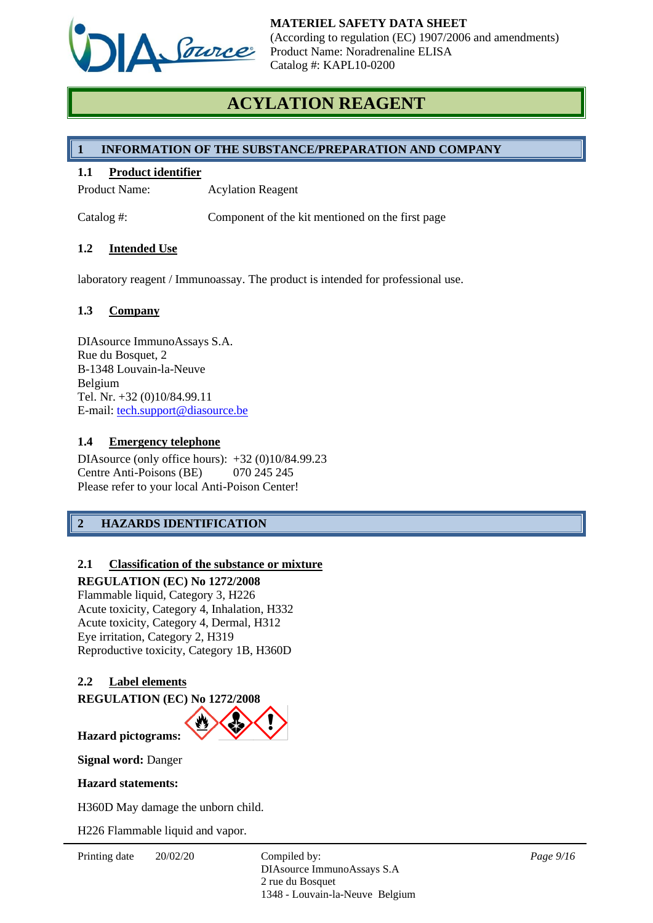

# **ACYLATION REAGENT**

## **1 INFORMATION OF THE SUBSTANCE/PREPARATION AND COMPANY**

#### **1.1 Product identifier**

Product Name: Acylation Reagent

Catalog #: Component of the kit mentioned on the first page

#### **1.2 Intended Use**

laboratory reagent / Immunoassay. The product is intended for professional use.

#### **1.3 Company**

DIAsource ImmunoAssays S.A. Rue du Bosquet, 2 B-1348 Louvain-la-Neuve Belgium Tel. Nr. +32 (0)10/84.99.11 E-mail: [tech.support@diasource.be](mailto:tech.support@diasource.be)

#### **1.4 Emergency telephone**

DIAsource (only office hours): +32 (0)10/84.99.23 Centre Anti-Poisons (BE) 070 245 245 Please refer to your local Anti-Poison Center!

# **2 HAZARDS IDENTIFICATION**

## **2.1 Classification of the substance or mixture**

#### **REGULATION (EC) No 1272/2008**

Flammable liquid, Category 3, H226 Acute toxicity, Category 4, Inhalation, H332 Acute toxicity, Category 4, Dermal, H312 Eye irritation, Category 2, H319 Reproductive toxicity, Category 1B, H360D

## **2.2 Label elements**

**REGULATION (EC) No 1272/2008**



**Signal word:** Danger

#### **Hazard statements:**

H360D May damage the unborn child.

H226 Flammable liquid and vapor.

Printing date  $20/02/20$  Compiled by: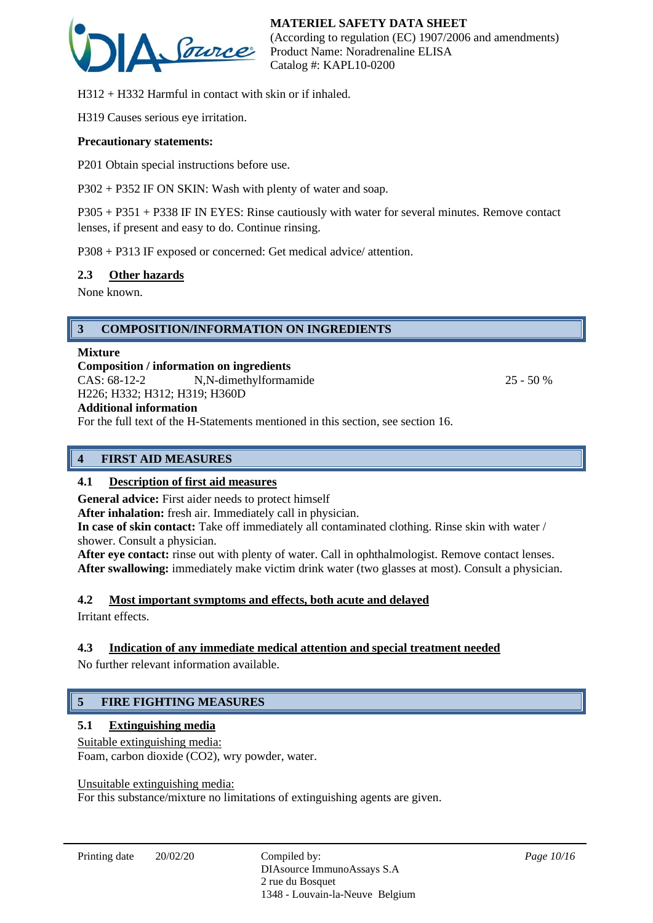

H312 + H332 Harmful in contact with skin or if inhaled.

H319 Causes serious eye irritation.

#### **Precautionary statements:**

P201 Obtain special instructions before use.

P302 + P352 IF ON SKIN: Wash with plenty of water and soap.

P305 + P351 + P338 IF IN EYES: Rinse cautiously with water for several minutes. Remove contact lenses, if present and easy to do. Continue rinsing.

P308 + P313 IF exposed or concerned: Get medical advice/ attention.

#### **2.3 Other hazards**

None known.

## **3 COMPOSITION/INFORMATION ON INGREDIENTS**

#### **Mixture**

**Composition / information on ingredients** CAS:  $68-12-2$  N,N-dimethylformamide 25 - 50 % H226; H332; H312; H319; H360D

# **Additional information**

For the full text of the H-Statements mentioned in this section, see section 16.

## **4 FIRST AID MEASURES**

#### **4.1 Description of first aid measures**

**General advice:** First aider needs to protect himself

**After inhalation:** fresh air. Immediately call in physician.

**In case of skin contact:** Take off immediately all contaminated clothing. Rinse skin with water / shower. Consult a physician.

**After eye contact:** rinse out with plenty of water. Call in ophthalmologist. Remove contact lenses. After swallowing: immediately make victim drink water (two glasses at most). Consult a physician.

## **4.2 Most important symptoms and effects, both acute and delayed**

Irritant effects.

## **4.3 Indication of any immediate medical attention and special treatment needed**

No further relevant information available.

# **5 FIRE FIGHTING MEASURES**

## **5.1 Extinguishing media**

Suitable extinguishing media:

Foam, carbon dioxide (CO2), wry powder, water.

Unsuitable extinguishing media:

For this substance/mixture no limitations of extinguishing agents are given.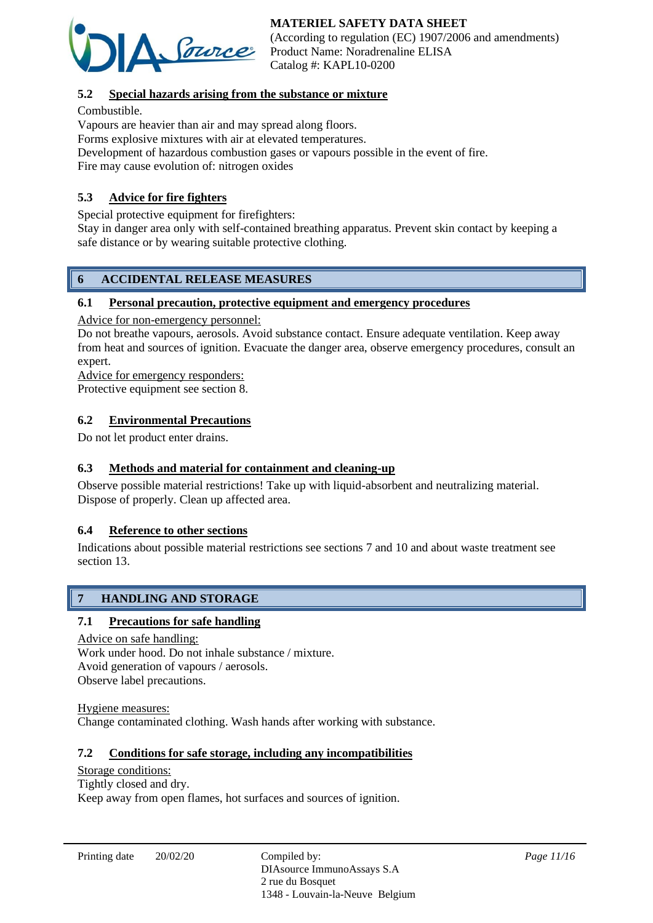

(According to regulation (EC) 1907/2006 and amendments) Product Name: Noradrenaline ELISA Catalog #: KAPL10-0200

## **5.2 Special hazards arising from the substance or mixture**

#### Combustible.

Vapours are heavier than air and may spread along floors.

Forms explosive mixtures with air at elevated temperatures.

Development of hazardous combustion gases or vapours possible in the event of fire. Fire may cause evolution of: nitrogen oxides

## **5.3 Advice for fire fighters**

Special protective equipment for firefighters:

Stay in danger area only with self-contained breathing apparatus. Prevent skin contact by keeping a safe distance or by wearing suitable protective clothing.

## **6 ACCIDENTAL RELEASE MEASURES**

#### **6.1 Personal precaution, protective equipment and emergency procedures**

Advice for non-emergency personnel:

Do not breathe vapours, aerosols. Avoid substance contact. Ensure adequate ventilation. Keep away from heat and sources of ignition. Evacuate the danger area, observe emergency procedures, consult an expert.

Advice for emergency responders:

Protective equipment see section 8.

## **6.2 Environmental Precautions**

Do not let product enter drains.

## **6.3 Methods and material for containment and cleaning-up**

Observe possible material restrictions! Take up with liquid-absorbent and neutralizing material. Dispose of properly. Clean up affected area.

## **6.4 Reference to other sections**

Indications about possible material restrictions see sections 7 and 10 and about waste treatment see section 13.

# **7 HANDLING AND STORAGE**

## **7.1 Precautions for safe handling**

Advice on safe handling: Work under hood. Do not inhale substance / mixture. Avoid generation of vapours / aerosols. Observe label precautions.

Hygiene measures: Change contaminated clothing. Wash hands after working with substance.

## **7.2 Conditions for safe storage, including any incompatibilities**

## Storage conditions:

Tightly closed and dry. Keep away from open flames, hot surfaces and sources of ignition.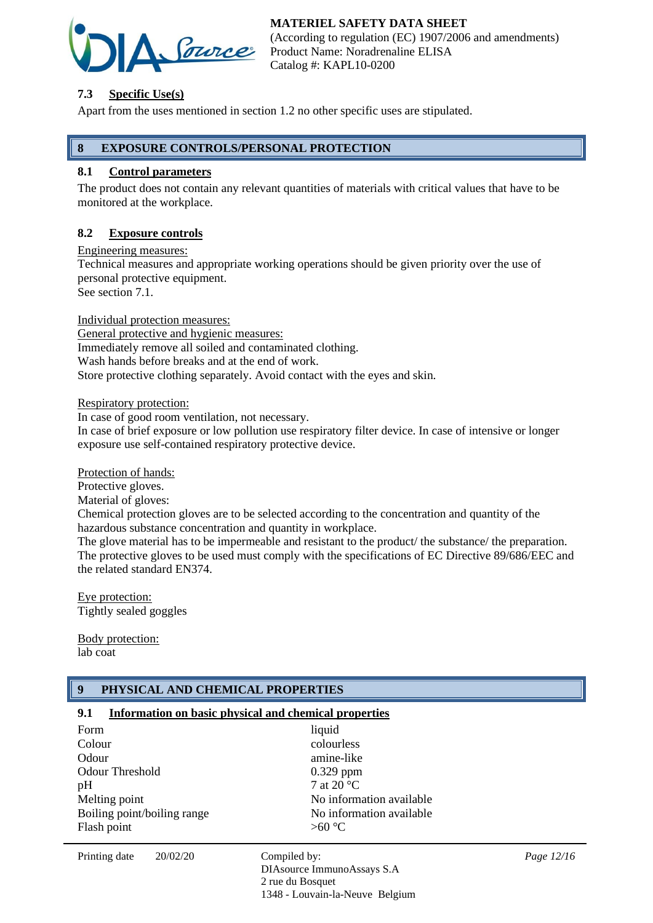

(According to regulation (EC) 1907/2006 and amendments) Product Name: Noradrenaline ELISA Catalog #: KAPL10-0200

## **7.3 Specific Use(s)**

Apart from the uses mentioned in section 1.2 no other specific uses are stipulated.

## **8 EXPOSURE CONTROLS/PERSONAL PROTECTION**

## **8.1 Control parameters**

The product does not contain any relevant quantities of materials with critical values that have to be monitored at the workplace.

#### **8.2 Exposure controls**

Engineering measures:

Technical measures and appropriate working operations should be given priority over the use of personal protective equipment.

See section 7.1.

Individual protection measures:

General protective and hygienic measures: Immediately remove all soiled and contaminated clothing. Wash hands before breaks and at the end of work. Store protective clothing separately. Avoid contact with the eyes and skin.

Respiratory protection:

In case of good room ventilation, not necessary.

In case of brief exposure or low pollution use respiratory filter device. In case of intensive or longer exposure use self-contained respiratory protective device.

Protection of hands:

Protective gloves.

Material of gloves:

Chemical protection gloves are to be selected according to the concentration and quantity of the hazardous substance concentration and quantity in workplace.

The glove material has to be impermeable and resistant to the product/ the substance/ the preparation. The protective gloves to be used must comply with the specifications of EC Directive 89/686/EEC and the related standard EN374.

Eye protection: Tightly sealed goggles

Body protection: lab coat

# **9 PHYSICAL AND CHEMICAL PROPERTIES**

## **9.1 Information on basic physical and chemical properties**

| Form                        | liquid                   |
|-----------------------------|--------------------------|
| Colour                      | colourless               |
| Odour                       | amine-like               |
| <b>Odour Threshold</b>      | $0.329$ ppm              |
| pН                          | 7 at 20 $^{\circ}$ C     |
| Melting point               | No information available |
| Boiling point/boiling range | No information available |
| Flash point                 | $>60^{\circ}C$           |
|                             |                          |

Printing date  $20/02/20$  Compiled by:

DIAsource ImmunoAssays S.A 2 rue du Bosquet 1348 - Louvain-la-Neuve Belgium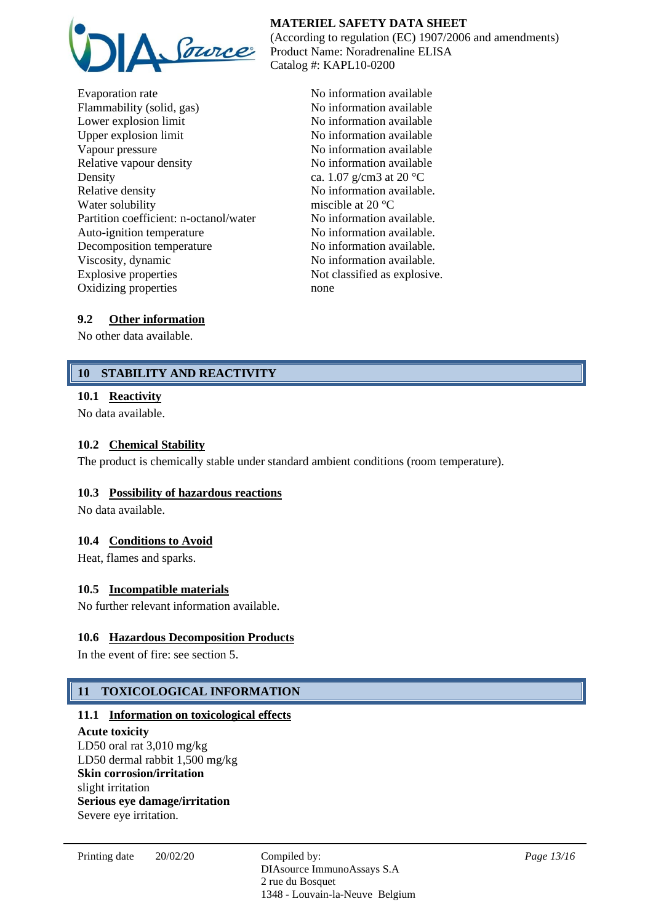

Evaporation rate No information available Flammability (solid, gas) No information available Lower explosion limit No information available Upper explosion limit No information available Vapour pressure No information available Relative vapour density No information available Density ca.  $1.07 \text{ g/cm}^3$  at  $20 \text{ }^{\circ}\text{C}$ Relative density No information available. Water solubility miscible at 20 °C Partition coefficient: n-octanol/water No information available. Auto-ignition temperature No information available. Decomposition temperature No information available. Viscosity, dynamic No information available. Explosive properties Not classified as explosive. Oxidizing properties none

#### **MATERIEL SAFETY DATA SHEET** (According to regulation (EC) 1907/2006 and amendments) Product Name: Noradrenaline ELISA Catalog #: KAPL10-0200

## **9.2 Other information**

No other data available.

# **10 STABILITY AND REACTIVITY**

## **10.1 Reactivity**

No data available.

## **10.2 Chemical Stability**

The product is chemically stable under standard ambient conditions (room temperature).

## **10.3 Possibility of hazardous reactions**

No data available.

## **10.4 Conditions to Avoid**

Heat, flames and sparks.

## **10.5 Incompatible materials**

No further relevant information available.

## **10.6 Hazardous Decomposition Products**

In the event of fire: see section 5.

# **11 TOXICOLOGICAL INFORMATION**

#### **11.1 Information on toxicological effects**

**Acute toxicity** LD50 oral rat 3,010 mg/kg LD50 dermal rabbit 1,500 mg/kg **Skin corrosion/irritation** slight irritation **Serious eye damage/irritation** Severe eye irritation.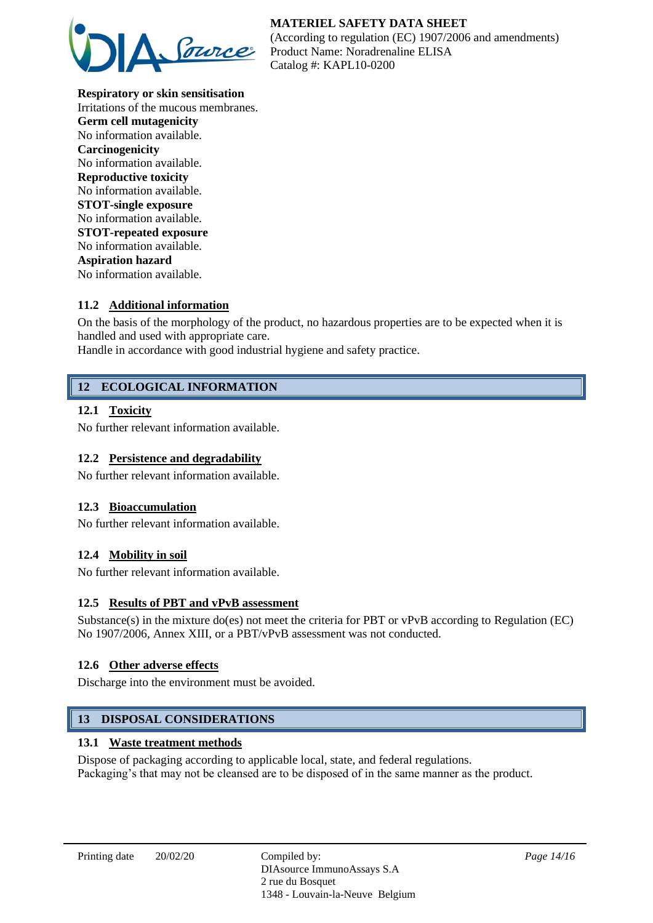

**Respiratory or skin sensitisation** Irritations of the mucous membranes. **Germ cell mutagenicity** No information available. **Carcinogenicity** No information available. **Reproductive toxicity** No information available. **STOT-single exposure** No information available. **STOT-repeated exposure** No information available. **Aspiration hazard** No information available.

## **11.2 Additional information**

On the basis of the morphology of the product, no hazardous properties are to be expected when it is handled and used with appropriate care.

Handle in accordance with good industrial hygiene and safety practice.

## **12 ECOLOGICAL INFORMATION**

#### **12.1 Toxicity**

No further relevant information available.

#### **12.2 Persistence and degradability**

No further relevant information available.

#### **12.3 Bioaccumulation**

No further relevant information available.

#### **12.4 Mobility in soil**

No further relevant information available.

#### **12.5 Results of PBT and vPvB assessment**

Substance(s) in the mixture do(es) not meet the criteria for PBT or vPvB according to Regulation (EC) No 1907/2006, Annex XIII, or a PBT/vPvB assessment was not conducted.

#### **12.6 Other adverse effects**

Discharge into the environment must be avoided.

#### **13 DISPOSAL CONSIDERATIONS**

#### **13.1 Waste treatment methods**

Dispose of packaging according to applicable local, state, and federal regulations. Packaging's that may not be cleansed are to be disposed of in the same manner as the product.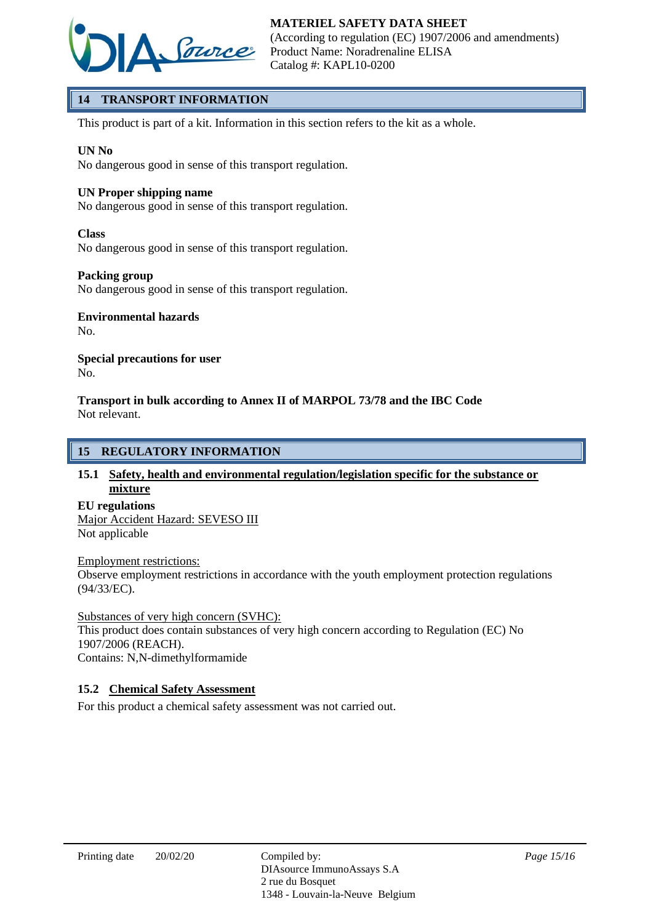

# **14 TRANSPORT INFORMATION**

This product is part of a kit. Information in this section refers to the kit as a whole.

#### **UN No**

No dangerous good in sense of this transport regulation.

#### **UN Proper shipping name**

No dangerous good in sense of this transport regulation.

#### **Class**

No dangerous good in sense of this transport regulation.

#### **Packing group**

No dangerous good in sense of this transport regulation.

# **Environmental hazards**

No.

#### **Special precautions for user** No.

**Transport in bulk according to Annex II of MARPOL 73/78 and the IBC Code** Not relevant.

#### **15 REGULATORY INFORMATION**

#### **15.1 Safety, health and environmental regulation/legislation specific for the substance or mixture**

#### **EU regulations**

#### Major Accident Hazard: SEVESO III Not applicable

#### Employment restrictions:

Observe employment restrictions in accordance with the youth employment protection regulations (94/33/EC).

#### Substances of very high concern (SVHC):

This product does contain substances of very high concern according to Regulation (EC) No 1907/2006 (REACH).

Contains: N,N-dimethylformamide

## **15.2 Chemical Safety Assessment**

For this product a chemical safety assessment was not carried out.